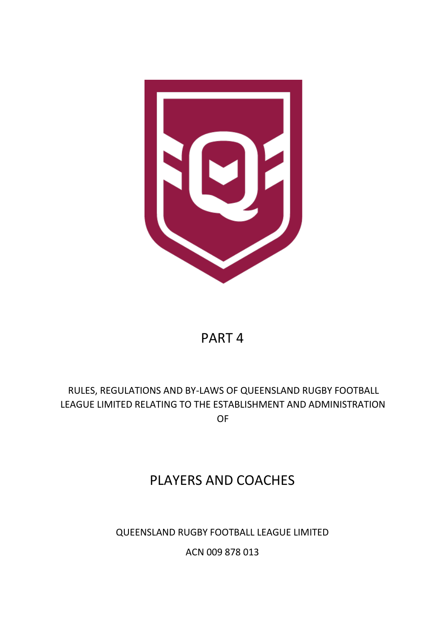

# PART 4

# RULES, REGULATIONS AND BY-LAWS OF QUEENSLAND RUGBY FOOTBALL LEAGUE LIMITED RELATING TO THE ESTABLISHMENT AND ADMINISTRATION OF

# PLAYERS AND COACHES

# QUEENSLAND RUGBY FOOTBALL LEAGUE LIMITED

ACN 009 878 013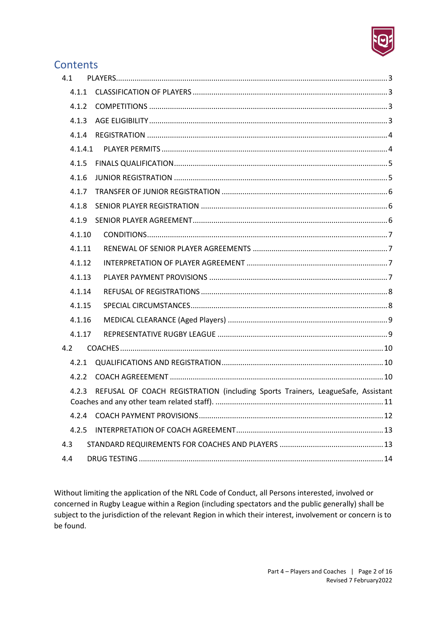

# Contents

| 4.1 |         |                                                                                 |
|-----|---------|---------------------------------------------------------------------------------|
|     | 4.1.1   |                                                                                 |
|     | 4.1.2   |                                                                                 |
|     | 4.1.3   |                                                                                 |
|     | 4.1.4   |                                                                                 |
|     | 4.1.4.1 |                                                                                 |
|     | 4.1.5   |                                                                                 |
|     | 4.1.6   |                                                                                 |
|     | 4.1.7   |                                                                                 |
|     | 4.1.8   |                                                                                 |
|     | 4.1.9   |                                                                                 |
|     | 4.1.10  |                                                                                 |
|     | 4.1.11  |                                                                                 |
|     | 4.1.12  |                                                                                 |
|     | 4.1.13  |                                                                                 |
|     | 4.1.14  |                                                                                 |
|     | 4.1.15  |                                                                                 |
|     | 4.1.16  |                                                                                 |
|     | 4.1.17  |                                                                                 |
| 4.2 |         |                                                                                 |
|     | 4.2.1   |                                                                                 |
|     | 4.2.2   |                                                                                 |
|     | 4.2.3   | REFUSAL OF COACH REGISTRATION (including Sports Trainers, LeagueSafe, Assistant |
|     |         |                                                                                 |
|     | 4.2.5   |                                                                                 |
| 4.3 |         |                                                                                 |
| 4.4 |         |                                                                                 |

Without limiting the application of the NRL Code of Conduct, all Persons interested, involved or concerned in Rugby League within a Region (including spectators and the public generally) shall be subject to the jurisdiction of the relevant Region in which their interest, involvement or concern is to be found.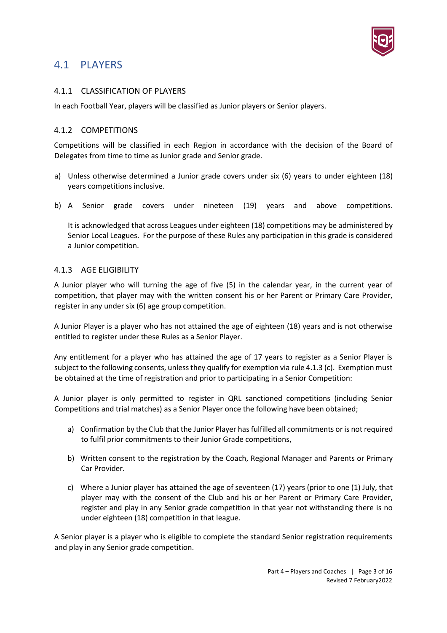

# <span id="page-2-0"></span>4.1 PLAYERS

## <span id="page-2-1"></span>4.1.1 CLASSIFICATION OF PLAYERS

In each Football Year, players will be classified as Junior players or Senior players.

### <span id="page-2-2"></span>4.1.2 COMPETITIONS

Competitions will be classified in each Region in accordance with the decision of the Board of Delegates from time to time as Junior grade and Senior grade.

- a) Unless otherwise determined a Junior grade covers under six (6) years to under eighteen (18) years competitions inclusive.
- b) A Senior grade covers under nineteen (19) years and above competitions.

It is acknowledged that across Leagues under eighteen (18) competitions may be administered by Senior Local Leagues. For the purpose of these Rules any participation in this grade is considered a Junior competition.

#### <span id="page-2-3"></span>4.1.3 AGE ELIGIBILITY

A Junior player who will turning the age of five (5) in the calendar year, in the current year of competition, that player may with the written consent his or her Parent or Primary Care Provider, register in any under six (6) age group competition.

A Junior Player is a player who has not attained the age of eighteen (18) years and is not otherwise entitled to register under these Rules as a Senior Player.

Any entitlement for a player who has attained the age of 17 years to register as a Senior Player is subject to the following consents, unless they qualify for exemption via rule 4.1.3 (c). Exemption must be obtained at the time of registration and prior to participating in a Senior Competition:

A Junior player is only permitted to register in QRL sanctioned competitions (including Senior Competitions and trial matches) as a Senior Player once the following have been obtained;

- a) Confirmation by the Club that the Junior Player hasfulfilled all commitments or is not required to fulfil prior commitments to their Junior Grade competitions,
- b) Written consent to the registration by the Coach, Regional Manager and Parents or Primary Car Provider.
- c) Where a Junior player has attained the age of seventeen (17) years (prior to one (1) July, that player may with the consent of the Club and his or her Parent or Primary Care Provider, register and play in any Senior grade competition in that year not withstanding there is no under eighteen (18) competition in that league.

A Senior player is a player who is eligible to complete the standard Senior registration requirements and play in any Senior grade competition.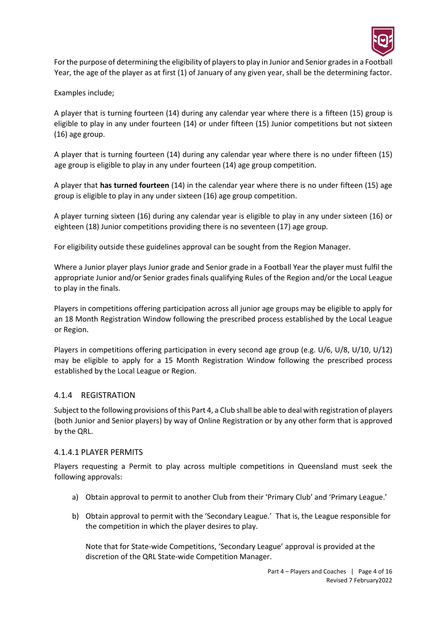

For the purpose of determining the eligibility of players to play in Junior and Senior grades in a Football Year, the age of the player as at first (1) of January of any given year, shall be the determining factor.

Examples include;

A player that is turning fourteen (14) during any calendar year where there is a fifteen (15) group is eligible to play in any under fourteen (14) or under fifteen (15) Junior competitions but not sixteen (16) age group.

A player that is turning fourteen (14) during any calendar year where there is no under fifteen (15) age group is eligible to play in any under fourteen (14) age group competition.

A player that **has turned fourteen** (14) in the calendar year where there is no under fifteen (15) age group is eligible to play in any under sixteen (16) age group competition.

A player turning sixteen (16) during any calendar year is eligible to play in any under sixteen (16) or eighteen (18) Junior competitions providing there is no seventeen (17) age group.

For eligibility outside these guidelines approval can be sought from the Region Manager.

Where a Junior player plays Junior grade and Senior grade in a Football Year the player must fulfil the appropriate Junior and/or Senior grades finals qualifying Rules of the Region and/or the Local League to play in the finals.

Players in competitions offering participation across all junior age groups may be eligible to apply for an 18 Month Registration Window following the prescribed process established by the Local League or Region.

Players in competitions offering participation in every second age group (e.g. U/6, U/8, U/10, U/12) may be eligible to apply for a 15 Month Registration Window following the prescribed process established by the Local League or Region.

# <span id="page-3-0"></span>4.1.4 REGISTRATION

Subject to the following provisions of this Part 4, a Club shall be able to deal with registration of players (both Junior and Senior players) by way of Online Registration or by any other form that is approved by the QRL.

### <span id="page-3-1"></span>4.1.4.1 PLAYER PERMITS

Players requesting a Permit to play across multiple competitions in Queensland must seek the following approvals:

- a) Obtain approval to permit to another Club from their 'Primary Club' and 'Primary League.'
- b) Obtain approval to permit with the 'Secondary League.' That is, the League responsible for the competition in which the player desires to play.

Note that for State-wide Competitions, 'Secondary League' approval is provided at the discretion of the QRL State-wide Competition Manager.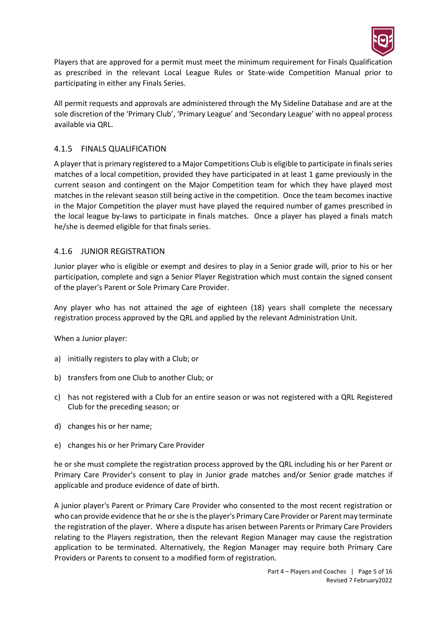

Players that are approved for a permit must meet the minimum requirement for Finals Qualification as prescribed in the relevant Local League Rules or State-wide Competition Manual prior to participating in either any Finals Series.

All permit requests and approvals are administered through the My Sideline Database and are at the sole discretion of the 'Primary Club', 'Primary League' and 'Secondary League' with no appeal process available via QRL.

## <span id="page-4-0"></span>4.1.5 FINALS QUALIFICATION

A player that is primary registered to a Major Competitions Club is eligible to participate in finals series matches of a local competition, provided they have participated in at least 1 game previously in the current season and contingent on the Major Competition team for which they have played most matches in the relevant season still being active in the competition. Once the team becomes inactive in the Major Competition the player must have played the required number of games prescribed in the local league by-laws to participate in finals matches. Once a player has played a finals match he/she is deemed eligible for that finals series.

## <span id="page-4-1"></span>4.1.6 JUNIOR REGISTRATION

Junior player who is eligible or exempt and desires to play in a Senior grade will, prior to his or her participation, complete and sign a Senior Player Registration which must contain the signed consent of the player's Parent or Sole Primary Care Provider.

Any player who has not attained the age of eighteen (18) years shall complete the necessary registration process approved by the QRL and applied by the relevant Administration Unit.

When a Junior player:

- a) initially registers to play with a Club; or
- b) transfers from one Club to another Club; or
- c) has not registered with a Club for an entire season or was not registered with a QRL Registered Club for the preceding season; or
- d) changes his or her name;
- e) changes his or her Primary Care Provider

he or she must complete the registration process approved by the QRL including his or her Parent or Primary Care Provider's consent to play in Junior grade matches and/or Senior grade matches if applicable and produce evidence of date of birth.

A junior player's Parent or Primary Care Provider who consented to the most recent registration or who can provide evidence that he or she is the player's Primary Care Provider or Parent may terminate the registration of the player. Where a dispute has arisen between Parents or Primary Care Providers relating to the Players registration, then the relevant Region Manager may cause the registration application to be terminated. Alternatively, the Region Manager may require both Primary Care Providers or Parents to consent to a modified form of registration.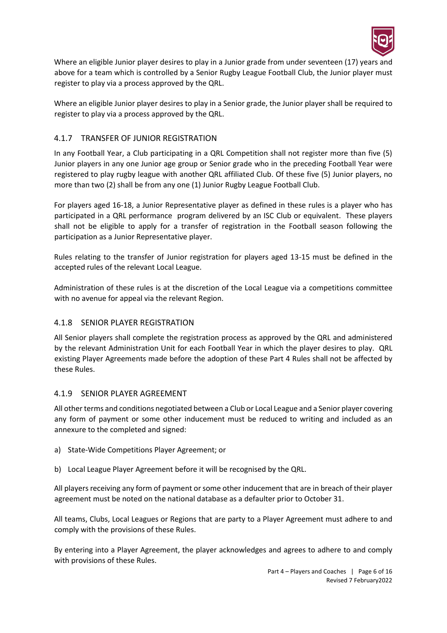

Where an eligible Junior player desires to play in a Junior grade from under seventeen (17) years and above for a team which is controlled by a Senior Rugby League Football Club, the Junior player must register to play via a process approved by the QRL.

Where an eligible Junior player desires to play in a Senior grade, the Junior player shall be required to register to play via a process approved by the QRL.

# <span id="page-5-0"></span>4.1.7 TRANSFER OF JUNIOR REGISTRATION

In any Football Year, a Club participating in a QRL Competition shall not register more than five (5) Junior players in any one Junior age group or Senior grade who in the preceding Football Year were registered to play rugby league with another QRL affiliated Club. Of these five (5) Junior players, no more than two (2) shall be from any one (1) Junior Rugby League Football Club.

For players aged 16-18, a Junior Representative player as defined in these rules is a player who has participated in a QRL performance program delivered by an ISC Club or equivalent. These players shall not be eligible to apply for a transfer of registration in the Football season following the participation as a Junior Representative player.

Rules relating to the transfer of Junior registration for players aged 13-15 must be defined in the accepted rules of the relevant Local League.

Administration of these rules is at the discretion of the Local League via a competitions committee with no avenue for appeal via the relevant Region.

# <span id="page-5-1"></span>4.1.8 SENIOR PLAYER REGISTRATION

All Senior players shall complete the registration process as approved by the QRL and administered by the relevant Administration Unit for each Football Year in which the player desires to play. QRL existing Player Agreements made before the adoption of these Part 4 Rules shall not be affected by these Rules.

### <span id="page-5-2"></span>4.1.9 SENIOR PLAYER AGREEMENT

All other terms and conditions negotiated between a Club or Local League and a Senior player covering any form of payment or some other inducement must be reduced to writing and included as an annexure to the completed and signed:

- a) State-Wide Competitions Player Agreement; or
- b) Local League Player Agreement before it will be recognised by the QRL.

All players receiving any form of payment or some other inducement that are in breach of their player agreement must be noted on the national database as a defaulter prior to October 31.

All teams, Clubs, Local Leagues or Regions that are party to a Player Agreement must adhere to and comply with the provisions of these Rules.

By entering into a Player Agreement, the player acknowledges and agrees to adhere to and comply with provisions of these Rules.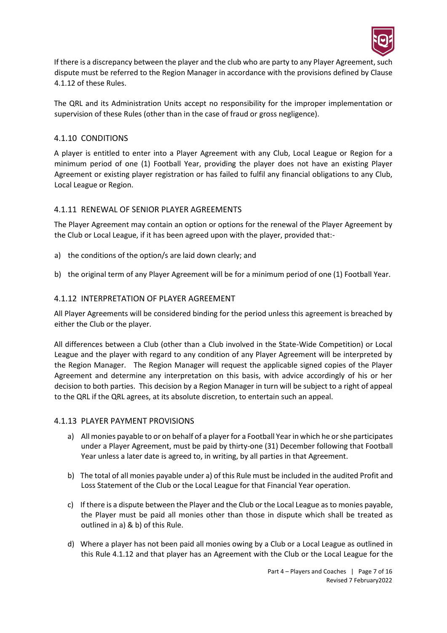

If there is a discrepancy between the player and the club who are party to any Player Agreement, such dispute must be referred to the Region Manager in accordance with the provisions defined by Clause 4.1.12 of these Rules.

The QRL and its Administration Units accept no responsibility for the improper implementation or supervision of these Rules (other than in the case of fraud or gross negligence).

## <span id="page-6-0"></span>4.1.10 CONDITIONS

A player is entitled to enter into a Player Agreement with any Club, Local League or Region for a minimum period of one (1) Football Year, providing the player does not have an existing Player Agreement or existing player registration or has failed to fulfil any financial obligations to any Club, Local League or Region.

## <span id="page-6-1"></span>4.1.11 RENEWAL OF SENIOR PLAYER AGREEMENTS

The Player Agreement may contain an option or options for the renewal of the Player Agreement by the Club or Local League, if it has been agreed upon with the player, provided that:-

- a) the conditions of the option/s are laid down clearly; and
- b) the original term of any Player Agreement will be for a minimum period of one (1) Football Year.

## <span id="page-6-2"></span>4.1.12 INTERPRETATION OF PLAYER AGREEMENT

All Player Agreements will be considered binding for the period unless this agreement is breached by either the Club or the player.

All differences between a Club (other than a Club involved in the State-Wide Competition) or Local League and the player with regard to any condition of any Player Agreement will be interpreted by the Region Manager. The Region Manager will request the applicable signed copies of the Player Agreement and determine any interpretation on this basis, with advice accordingly of his or her decision to both parties. This decision by a Region Manager in turn will be subject to a right of appeal to the QRL if the QRL agrees, at its absolute discretion, to entertain such an appeal.

### <span id="page-6-4"></span><span id="page-6-3"></span>4.1.13 PLAYER PAYMENT PROVISIONS

- a) All monies payable to or on behalf of a player for a Football Year in which he or she participates under a Player Agreement, must be paid by thirty-one (31) December following that Football Year unless a later date is agreed to, in writing, by all parties in that Agreement.
- <span id="page-6-5"></span>b) The total of all monies payable under [a\)](#page-6-4) of this Rule must be included in the audited Profit and Loss Statement of the Club or the Local League for that Financial Year operation.
- c) If there is a dispute between the Player and the Club or the Local League as to monies payable, the Player must be paid all monies other than those in dispute which shall be treated as outlined i[n a\)](#page-6-4) [& b\)](#page-6-5) of this Rule.
- d) Where a player has not been paid all monies owing by a Club or a Local League as outlined in this Rule 4.1.12 and that player has an Agreement with the Club or the Local League for the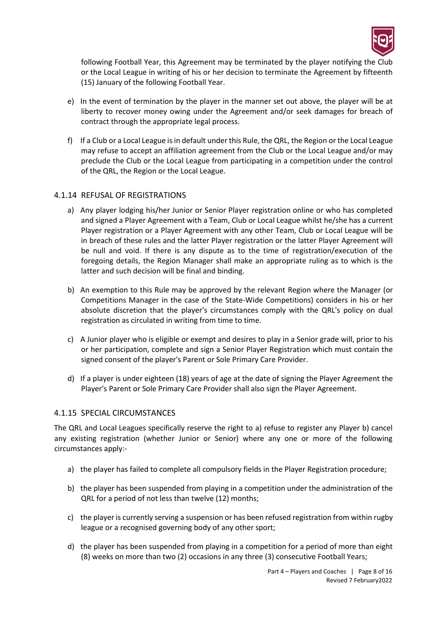

following Football Year, this Agreement may be terminated by the player notifying the Club or the Local League in writing of his or her decision to terminate the Agreement by fifteenth (15) January of the following Football Year.

- e) In the event of termination by the player in the manner set out above, the player will be at liberty to recover money owing under the Agreement and/or seek damages for breach of contract through the appropriate legal process.
- f) If a Club or a Local League is in default under this Rule, the QRL, the Region or the Local League may refuse to accept an affiliation agreement from the Club or the Local League and/or may preclude the Club or the Local League from participating in a competition under the control of the QRL, the Region or the Local League.

### <span id="page-7-0"></span>4.1.14 REFUSAL OF REGISTRATIONS

- a) Any player lodging his/her Junior or Senior Player registration online or who has completed and signed a Player Agreement with a Team, Club or Local League whilst he/she has a current Player registration or a Player Agreement with any other Team, Club or Local League will be in breach of these rules and the latter Player registration or the latter Player Agreement will be null and void. If there is any dispute as to the time of registration/execution of the foregoing details, the Region Manager shall make an appropriate ruling as to which is the latter and such decision will be final and binding.
- b) An exemption to this Rule may be approved by the relevant Region where the Manager (or Competitions Manager in the case of the State-Wide Competitions) considers in his or her absolute discretion that the player's circumstances comply with the QRL's policy on dual registration as circulated in writing from time to time.
- c) A Junior player who is eligible or exempt and desires to play in a Senior grade will, prior to his or her participation, complete and sign a Senior Player Registration which must contain the signed consent of the player's Parent or Sole Primary Care Provider.
- d) If a player is under eighteen (18) years of age at the date of signing the Player Agreement the Player's Parent or Sole Primary Care Provider shall also sign the Player Agreement.

### <span id="page-7-1"></span>4.1.15 SPECIAL CIRCUMSTANCES

The QRL and Local Leagues specifically reserve the right to a) refuse to register any Player b) cancel any existing registration (whether Junior or Senior) where any one or more of the following circumstances apply:-

- a) the player has failed to complete all compulsory fields in the Player Registration procedure;
- b) the player has been suspended from playing in a competition under the administration of the QRL for a period of not less than twelve (12) months;
- c) the player is currently serving a suspension or has been refused registration from within rugby league or a recognised governing body of any other sport;
- d) the player has been suspended from playing in a competition for a period of more than eight (8) weeks on more than two (2) occasions in any three (3) consecutive Football Years;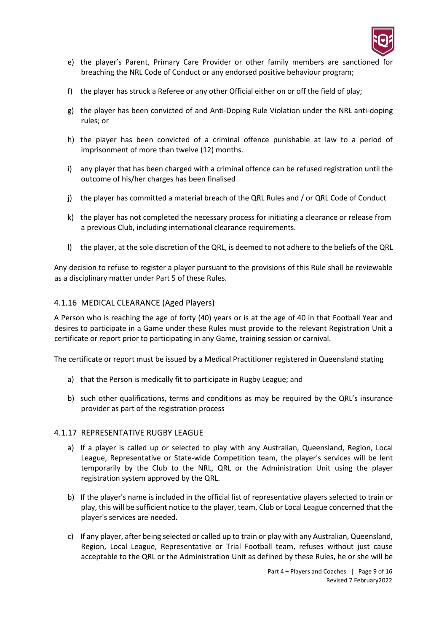

- e) the player's Parent, Primary Care Provider or other family members are sanctioned for breaching the NRL Code of Conduct or any endorsed positive behaviour program;
- f) the player has struck a Referee or any other Official either on or off the field of play;
- g) the player has been convicted of and Anti-Doping Rule Violation under the NRL anti-doping rules; or
- h) the player has been convicted of a criminal offence punishable at law to a period of imprisonment of more than twelve (12) months.
- i) any player that has been charged with a criminal offence can be refused registration until the outcome of his/her charges has been finalised
- j) the player has committed a material breach of the QRL Rules and / or QRL Code of Conduct
- k) the player has not completed the necessary process for initiating a clearance or release from a previous Club, including international clearance requirements.
- l) the player, at the sole discretion of the QRL, is deemed to not adhere to the beliefs of the QRL

Any decision to refuse to register a player pursuant to the provisions of this Rule shall be reviewable as a disciplinary matter under Part 5 of these Rules.

#### <span id="page-8-0"></span>4.1.16 MEDICAL CLEARANCE (Aged Players)

A Person who is reaching the age of forty (40) years or is at the age of 40 in that Football Year and desires to participate in a Game under these Rules must provide to the relevant Registration Unit a certificate or report prior to participating in any Game, training session or carnival.

The certificate or report must be issued by a Medical Practitioner registered in Queensland stating

- a) that the Person is medically fit to participate in Rugby League; and
- b) such other qualifications, terms and conditions as may be required by the QRL's insurance provider as part of the registration process

#### <span id="page-8-1"></span>4.1.17 REPRESENTATIVE RUGBY LEAGUE

- a) If a player is called up or selected to play with any Australian, Queensland, Region, Local League, Representative or State-wide Competition team, the player's services will be lent temporarily by the Club to the NRL, QRL or the Administration Unit using the player registration system approved by the QRL.
- b) If the player's name is included in the official list of representative players selected to train or play, this will be sufficient notice to the player, team, Club or Local League concerned that the player's services are needed.
- c) If any player, after being selected or called up to train or play with any Australian, Queensland, Region, Local League, Representative or Trial Football team, refuses without just cause acceptable to the QRL or the Administration Unit as defined by these Rules, he or she will be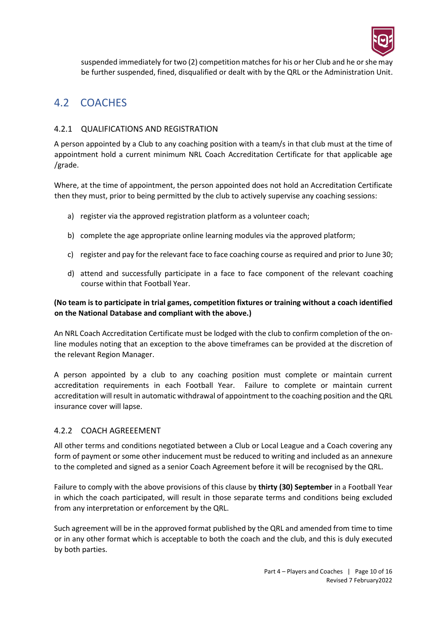

suspended immediately for two (2) competition matches for his or her Club and he or she may be further suspended, fined, disqualified or dealt with by the QRL or the Administration Unit.

# <span id="page-9-0"></span>4.2 COACHES

# <span id="page-9-1"></span>4.2.1 QUALIFICATIONS AND REGISTRATION

A person appointed by a Club to any coaching position with a team/s in that club must at the time of appointment hold a current minimum NRL Coach Accreditation Certificate for that applicable age /grade.

Where, at the time of appointment, the person appointed does not hold an Accreditation Certificate then they must, prior to being permitted by the club to actively supervise any coaching sessions:

- a) register via the approved registration platform as a volunteer coach;
- b) complete the age appropriate online learning modules via the approved platform;
- c) register and pay for the relevant face to face coaching course as required and prior to June 30;
- d) attend and successfully participate in a face to face component of the relevant coaching course within that Football Year.

#### **(No team is to participate in trial games, competition fixtures or training without a coach identified on the National Database and compliant with the above.)**

An NRL Coach Accreditation Certificate must be lodged with the club to confirm completion of the online modules noting that an exception to the above timeframes can be provided at the discretion of the relevant Region Manager.

A person appointed by a club to any coaching position must complete or maintain current accreditation requirements in each Football Year. Failure to complete or maintain current accreditation will result in automatic withdrawal of appointment to the coaching position and the QRL insurance cover will lapse.

### <span id="page-9-2"></span>4.2.2 COACH AGREEEMENT

All other terms and conditions negotiated between a Club or Local League and a Coach covering any form of payment or some other inducement must be reduced to writing and included as an annexure to the completed and signed as a senior Coach Agreement before it will be recognised by the QRL.

Failure to comply with the above provisions of this clause by **thirty (30) September** in a Football Year in which the coach participated, will result in those separate terms and conditions being excluded from any interpretation or enforcement by the QRL.

Such agreement will be in the approved format published by the QRL and amended from time to time or in any other format which is acceptable to both the coach and the club, and this is duly executed by both parties.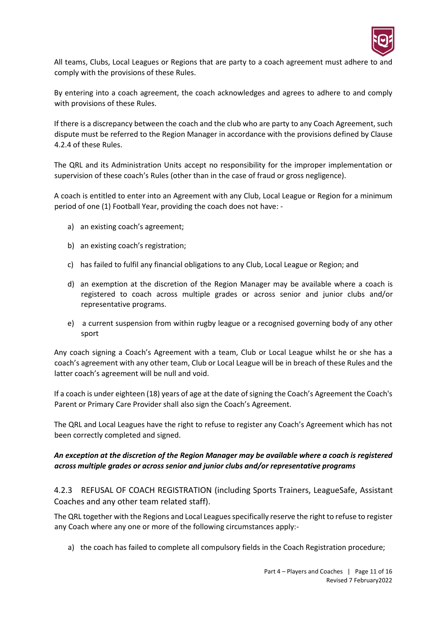

All teams, Clubs, Local Leagues or Regions that are party to a coach agreement must adhere to and comply with the provisions of these Rules.

By entering into a coach agreement, the coach acknowledges and agrees to adhere to and comply with provisions of these Rules.

If there is a discrepancy between the coach and the club who are party to any Coach Agreement, such dispute must be referred to the Region Manager in accordance with the provisions defined by Clause 4.2.4 of these Rules.

The QRL and its Administration Units accept no responsibility for the improper implementation or supervision of these coach's Rules (other than in the case of fraud or gross negligence).

A coach is entitled to enter into an Agreement with any Club, Local League or Region for a minimum period of one (1) Football Year, providing the coach does not have: -

- a) an existing coach's agreement;
- b) an existing coach's registration;
- c) has failed to fulfil any financial obligations to any Club, Local League or Region; and
- d) an exemption at the discretion of the Region Manager may be available where a coach is registered to coach across multiple grades or across senior and junior clubs and/or representative programs.
- e) a current suspension from within rugby league or a recognised governing body of any other sport

Any coach signing a Coach's Agreement with a team, Club or Local League whilst he or she has a coach's agreement with any other team, Club or Local League will be in breach of these Rules and the latter coach's agreement will be null and void.

If a coach is under eighteen (18) years of age at the date of signing the Coach's Agreement the Coach's Parent or Primary Care Provider shall also sign the Coach's Agreement.

The QRL and Local Leagues have the right to refuse to register any Coach's Agreement which has not been correctly completed and signed.

### *An exception at the discretion of the Region Manager may be available where a coach is registered across multiple grades or across senior and junior clubs and/or representative programs*

<span id="page-10-0"></span>4.2.3 REFUSAL OF COACH REGISTRATION (including Sports Trainers, LeagueSafe, Assistant Coaches and any other team related staff).

The QRL together with the Regions and Local Leagues specifically reserve the right to refuse to register any Coach where any one or more of the following circumstances apply:-

a) the coach has failed to complete all compulsory fields in the Coach Registration procedure;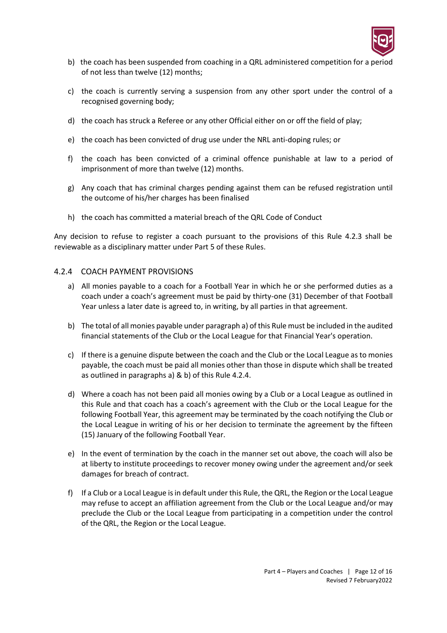

- b) the coach has been suspended from coaching in a QRL administered competition for a period of not less than twelve (12) months;
- c) the coach is currently serving a suspension from any other sport under the control of a recognised governing body;
- d) the coach has struck a Referee or any other Official either on or off the field of play;
- e) the coach has been convicted of drug use under the NRL anti-doping rules; or
- f) the coach has been convicted of a criminal offence punishable at law to a period of imprisonment of more than twelve (12) months.
- g) Any coach that has criminal charges pending against them can be refused registration until the outcome of his/her charges has been finalised
- h) the coach has committed a material breach of the QRL Code of Conduct

Any decision to refuse to register a coach pursuant to the provisions of this Rule 4.2.3 shall be reviewable as a disciplinary matter under Part 5 of these Rules.

#### <span id="page-11-1"></span><span id="page-11-0"></span>4.2.4 COACH PAYMENT PROVISIONS

- a) All monies payable to a coach for a Football Year in which he or she performed duties as a coach under a coach's agreement must be paid by thirty-one (31) December of that Football Year unless a later date is agreed to, in writing, by all parties in that agreement.
- <span id="page-11-2"></span>b) The total of all monies payable under paragraph [a\)](#page-11-1) of this Rule must be included in the audited financial statements of the Club or the Local League for that Financial Year's operation.
- c) If there is a genuine dispute between the coach and the Club or the Local League as to monies payable, the coach must be paid all monies other than those in dispute which shall be treated as outlined in paragraphs [a\)](#page-11-1) & [b\)](#page-11-2) of this Rule [4.2.4.](#page-11-0)
- d) Where a coach has not been paid all monies owing by a Club or a Local League as outlined in this Rule and that coach has a coach's agreement with the Club or the Local League for the following Football Year, this agreement may be terminated by the coach notifying the Club or the Local League in writing of his or her decision to terminate the agreement by the fifteen (15) January of the following Football Year.
- e) In the event of termination by the coach in the manner set out above, the coach will also be at liberty to institute proceedings to recover money owing under the agreement and/or seek damages for breach of contract.
- f) If a Club or a Local League is in default under this Rule, the QRL, the Region or the Local League may refuse to accept an affiliation agreement from the Club or the Local League and/or may preclude the Club or the Local League from participating in a competition under the control of the QRL, the Region or the Local League.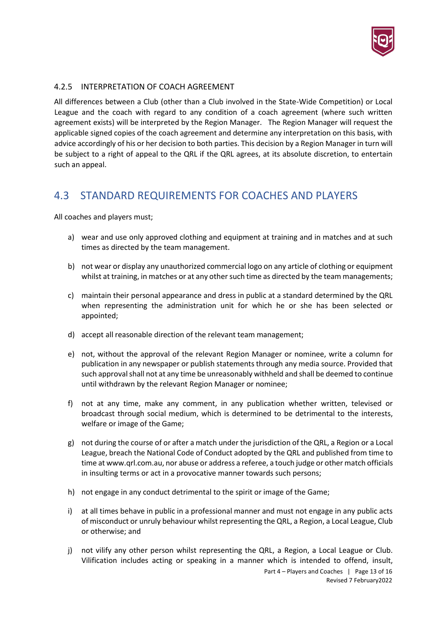

## <span id="page-12-0"></span>4.2.5 INTERPRETATION OF COACH AGREEMENT

All differences between a Club (other than a Club involved in the State-Wide Competition) or Local League and the coach with regard to any condition of a coach agreement (where such written agreement exists) will be interpreted by the Region Manager. The Region Manager will request the applicable signed copies of the coach agreement and determine any interpretation on this basis, with advice accordingly of his or her decision to both parties. This decision by a Region Manager in turn will be subject to a right of appeal to the QRL if the QRL agrees, at its absolute discretion, to entertain such an appeal.

# <span id="page-12-1"></span>4.3 STANDARD REQUIREMENTS FOR COACHES AND PLAYERS

All coaches and players must;

- a) wear and use only approved clothing and equipment at training and in matches and at such times as directed by the team management.
- b) not wear or display any unauthorized commercial logo on any article of clothing or equipment whilst at training, in matches or at any other such time as directed by the team managements;
- c) maintain their personal appearance and dress in public at a standard determined by the QRL when representing the administration unit for which he or she has been selected or appointed;
- d) accept all reasonable direction of the relevant team management;
- e) not, without the approval of the relevant Region Manager or nominee, write a column for publication in any newspaper or publish statements through any media source. Provided that such approval shall not at any time be unreasonably withheld and shall be deemed to continue until withdrawn by the relevant Region Manager or nominee;
- f) not at any time, make any comment, in any publication whether written, televised or broadcast through social medium, which is determined to be detrimental to the interests, welfare or image of the Game;
- g) not during the course of or after a match under the jurisdiction of the QRL, a Region or a Local League, breach the National Code of Conduct adopted by the QRL and published from time to time a[t www.qrl.com.au,](http://www.qrl.com.au/) nor abuse or address a referee, a touch judge or other match officials in insulting terms or act in a provocative manner towards such persons;
- h) not engage in any conduct detrimental to the spirit or image of the Game;
- i) at all times behave in public in a professional manner and must not engage in any public acts of misconduct or unruly behaviour whilst representing the QRL, a Region, a Local League, Club or otherwise; and
- j) not vilify any other person whilst representing the QRL, a Region, a Local League or Club. Vilification includes acting or speaking in a manner which is intended to offend, insult,